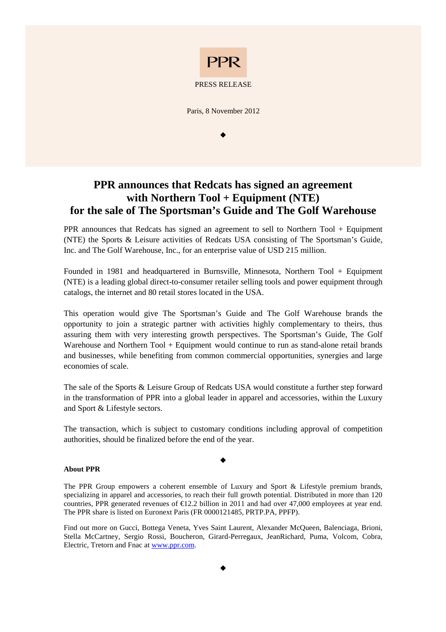

## PRESS RELEASE

Paris, 8 November 2012

 $\bullet$ 

## **PPR announces that Redcats has signed an agreement with Northern Tool + Equipment (NTE) for the sale of The Sportsman's Guide and The Golf Warehouse**

PPR announces that Redcats has signed an agreement to sell to Northern Tool + Equipment (NTE) the Sports & Leisure activities of Redcats USA consisting of The Sportsman's Guide, Inc. and The Golf Warehouse, Inc., for an enterprise value of USD 215 million.

Founded in 1981 and headquartered in Burnsville, Minnesota, Northern Tool + Equipment (NTE) is a leading global direct-to-consumer retailer selling tools and power equipment through catalogs, the internet and 80 retail stores located in the USA.

This operation would give The Sportsman's Guide and The Golf Warehouse brands the opportunity to join a strategic partner with activities highly complementary to theirs, thus assuring them with very interesting growth perspectives. The Sportsman's Guide, The Golf Warehouse and Northern Tool + Equipment would continue to run as stand-alone retail brands and businesses, while benefiting from common commercial opportunities, synergies and large economies of scale.

The sale of the Sports & Leisure Group of Redcats USA would constitute a further step forward in the transformation of PPR into a global leader in apparel and accessories, within the Luxury and Sport & Lifestyle sectors.

The transaction, which is subject to customary conditions including approval of competition authorities, should be finalized before the end of the year.

 $\bullet$ 

## **About PPR**

The PPR Group empowers a coherent ensemble of Luxury and Sport & Lifestyle premium brands, specializing in apparel and accessories, to reach their full growth potential. Distributed in more than 120 countries, PPR generated revenues of  $E12.2$  billion in 2011 and had over 47,000 employees at year end. The PPR share is listed on Euronext Paris (FR 0000121485, PRTP.PA, PPFP).

Find out more on Gucci, Bottega Veneta, Yves Saint Laurent, Alexander McQueen, Balenciaga, Brioni, Stella McCartney, Sergio Rossi, Boucheron, Girard-Perregaux, JeanRichard, Puma, Volcom, Cobra, Electric, Tretorn and Fnac at www.ppr.com.